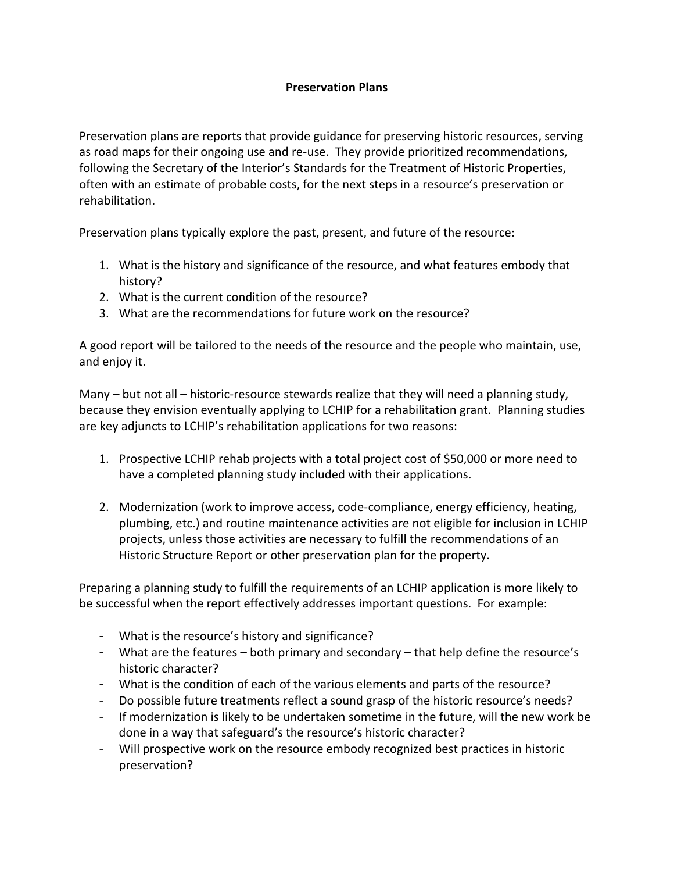## **Preservation Plans**

Preservation plans are reports that provide guidance for preserving historic resources, serving as road maps for their ongoing use and re-use. They provide prioritized recommendations, following the Secretary of the Interior's Standards for the Treatment of Historic Properties, often with an estimate of probable costs, for the next steps in a resource's preservation or rehabilitation.

Preservation plans typically explore the past, present, and future of the resource:

- 1. What is the history and significance of the resource, and what features embody that history?
- 2. What is the current condition of the resource?
- 3. What are the recommendations for future work on the resource?

A good report will be tailored to the needs of the resource and the people who maintain, use, and enjoy it.

Many – but not all – historic-resource stewards realize that they will need a planning study, because they envision eventually applying to LCHIP for a rehabilitation grant. Planning studies are key adjuncts to LCHIP's rehabilitation applications for two reasons:

- 1. Prospective LCHIP rehab projects with a total project cost of \$50,000 or more need to have a completed planning study included with their applications.
- 2. Modernization (work to improve access, code-compliance, energy efficiency, heating, plumbing, etc.) and routine maintenance activities are not eligible for inclusion in LCHIP projects, unless those activities are necessary to fulfill the recommendations of an Historic Structure Report or other preservation plan for the property.

Preparing a planning study to fulfill the requirements of an LCHIP application is more likely to be successful when the report effectively addresses important questions. For example:

- What is the resource's history and significance?
- What are the features both primary and secondary that help define the resource's historic character?
- What is the condition of each of the various elements and parts of the resource?
- Do possible future treatments reflect a sound grasp of the historic resource's needs?
- If modernization is likely to be undertaken sometime in the future, will the new work be done in a way that safeguard's the resource's historic character?
- Will prospective work on the resource embody recognized best practices in historic preservation?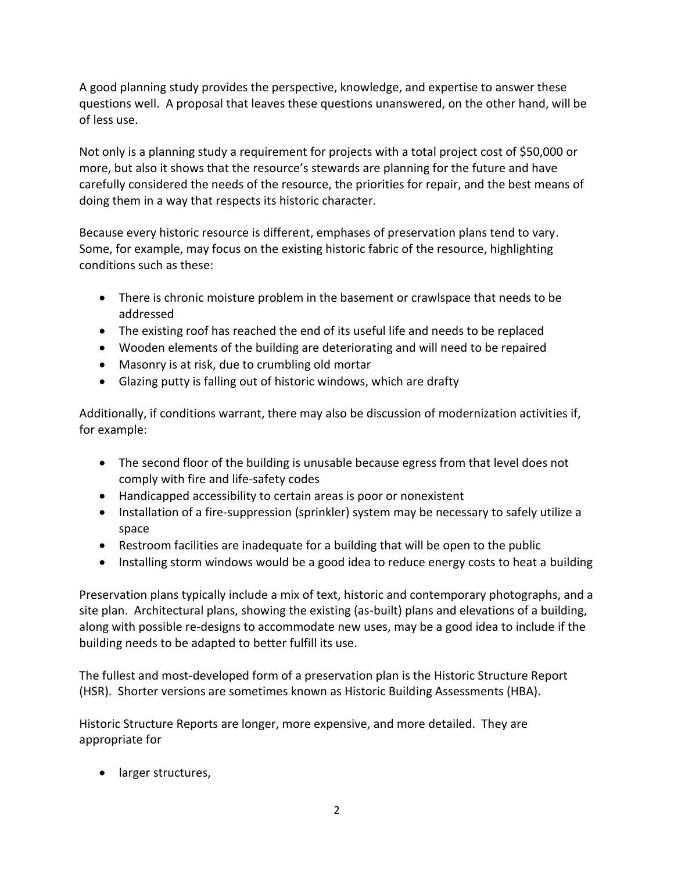A good planning study provides the perspective, knowledge, and expertise to answer these questions well. A proposal that leaves these questions unanswered, on the other hand, will be of less use.

Not only is a planning study a requirement for projects with a total project cost of \$50,000 or more, but also it shows that the resource's stewards are planning for the future and have carefully considered the needs of the resource, the priorities for repair, and the best means of doing them in a way that respects its historic character.

Because every historic resource is different, emphases of preservation plans tend to vary. Some, for example, may focus on the existing historic fabric of the resource, highlighting conditions such as these:

- There is chronic moisture problem in the basement or crawlspace that needs to be addressed
- The existing roof has reached the end of its useful life and needs to be replaced
- Wooden elements of the building are deteriorating and will need to be repaired
- Masonry is at risk, due to crumbling old mortar
- Glazing putty is falling out of historic windows, which are drafty

Additionally, if conditions warrant, there may also be discussion of modernization activities if, for example:

- The second floor of the building is unusable because egress from that level does not comply with fire and life-safety codes
- Handicapped accessibility to certain areas is poor or nonexistent
- Installation of a fire-suppression (sprinkler) system may be necessary to safely utilize a space
- Restroom facilities are inadequate for a building that will be open to the public
- Installing storm windows would be a good idea to reduce energy costs to heat a building

Preservation plans typically include a mix of text, historic and contemporary photographs, and a site plan. Architectural plans, showing the existing (as-built) plans and elevations of a building, along with possible re-designs to accommodate new uses, may be a good idea to include if the building needs to be adapted to better fulfill its use.

The fullest and most-developed form of a preservation plan is the Historic Structure Report (HSR). Shorter versions are sometimes known as Historic Building Assessments (HBA).

Historic Structure Reports are longer, more expensive, and more detailed. They are appropriate for

• larger structures,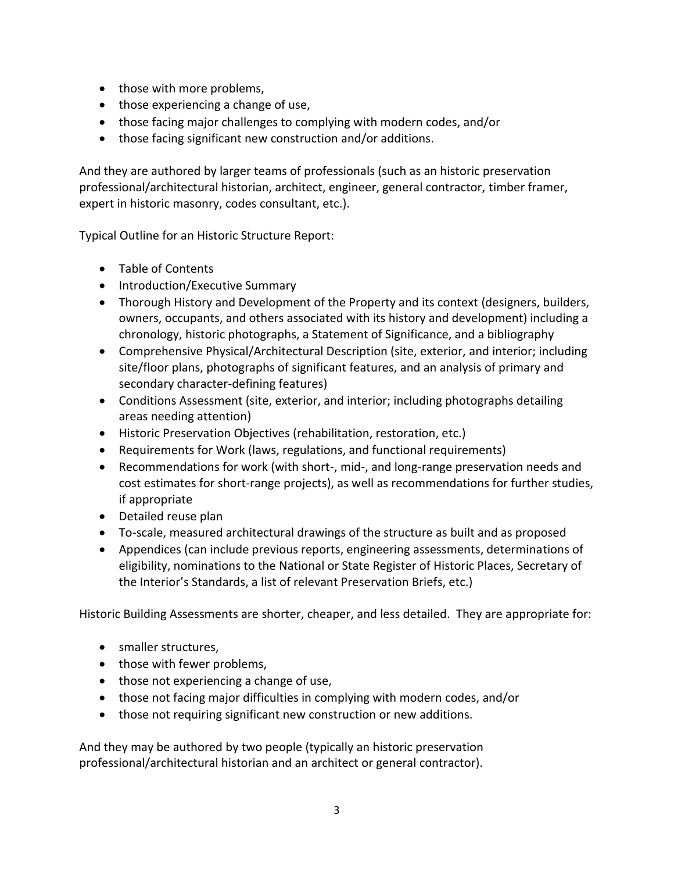- those with more problems,
- those experiencing a change of use,
- those facing major challenges to complying with modern codes, and/or
- those facing significant new construction and/or additions.

And they are authored by larger teams of professionals (such as an historic preservation professional/architectural historian, architect, engineer, general contractor, timber framer, expert in historic masonry, codes consultant, etc.).

Typical Outline for an Historic Structure Report:

- Table of Contents
- Introduction/Executive Summary
- Thorough History and Development of the Property and its context (designers, builders, owners, occupants, and others associated with its history and development) including a chronology, historic photographs, a Statement of Significance, and a bibliography
- Comprehensive Physical/Architectural Description (site, exterior, and interior; including site/floor plans, photographs of significant features, and an analysis of primary and secondary character-defining features)
- Conditions Assessment (site, exterior, and interior; including photographs detailing areas needing attention)
- Historic Preservation Objectives (rehabilitation, restoration, etc.)
- Requirements for Work (laws, regulations, and functional requirements)
- Recommendations for work (with short-, mid-, and long-range preservation needs and cost estimates for short-range projects), as well as recommendations for further studies, if appropriate
- Detailed reuse plan
- To-scale, measured architectural drawings of the structure as built and as proposed
- Appendices (can include previous reports, engineering assessments, determinations of eligibility, nominations to the National or State Register of Historic Places, Secretary of the Interior's Standards, a list of relevant Preservation Briefs, etc.)

Historic Building Assessments are shorter, cheaper, and less detailed. They are appropriate for:

- smaller structures,
- those with fewer problems,
- those not experiencing a change of use,
- those not facing major difficulties in complying with modern codes, and/or
- those not requiring significant new construction or new additions.

And they may be authored by two people (typically an historic preservation professional/architectural historian and an architect or general contractor).